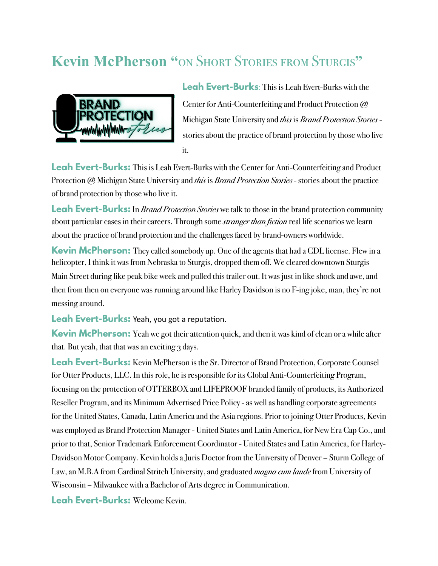# **Kevin McPherson "**on Short Stories from Sturgis**"**



**Leah Evert-Burks**: This is Leah Evert-Burks with the Center for Anti-Counterfeiting and Product Protection @ Michigan State University and *this* is *Brand Protection Stories* stories about the practice of brand protection by those who live it.

**Leah Evert-Burks:** This is Leah Evert-Burks with the Center for Anti-Counterfeiting and Product Protection @ Michigan State University and *this* is *Brand Protection Stories* - stories about the practice of brand protection by those who live it.

**Leah Evert-Burks:** In *Brand Protection Stories* we talk to those in the brand protection community about particular cases in their careers. Through some *stranger than fiction* real life scenarios we learn about the practice of brand protection and the challenges faced by brand-owners worldwide.

**Kevin McPherson:** They called somebody up. One of the agents that had a CDL license. Flew in a helicopter, I think it was from Nebraska to Sturgis, dropped them off.We cleared downtown Sturgis Main Street during like peak bike week and pulled this trailer out.It was just in like shock and awe, and then from then on everyone was running around like Harley Davidson is no F-ing joke, man, they're not messing around.

**Leah Evert-Burks:** Yeah, you got a reputation.

**Kevin McPherson:** Yeah we got their attention quick, and then it was kind of clean or a while after that. But yeah, that that was an exciting 3 days.

**Leah Evert-Burks:** Kevin McPherson is the Sr. Director of Brand Protection, Corporate Counsel for Otter Products, LLC. In this role, he is responsible for its Global Anti-Counterfeiting Program, focusing on the protection of OTTERBOX and LIFEPROOF branded family of products, its Authorized Reseller Program, and its Minimum Advertised Price Policy - as well as handling corporate agreements for the United States, Canada, Latin America and the Asia regions. Prior to joining Otter Products, Kevin was employed as Brand Protection Manager - United States and Latin America, for New Era Cap Co., and prior to that, Senior Trademark Enforcement Coordinator - United States and Latin America, for Harley-Davidson Motor Company. Kevin holds a Juris Doctor from the University of Denver – Sturm College of Law, an M.B.A from Cardinal Stritch University, and graduated *magna cum laude* from University of Wisconsin – Milwaukee with a Bachelor of Arts degree in Communication.

**Leah Evert-Burks:** Welcome Kevin.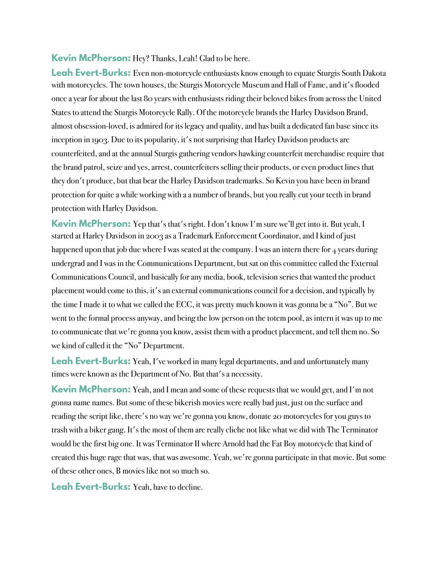**Kevin McPherson:** Hey? Thanks, Leah! Glad to be here.

Leah Evert-Burks: Even non-motorcycle enthusiasts know enough to equate Sturgis South Dakota with motorcycles. The town houses, the Sturgis Motorcycle Museum and Hall of Fame, and it's flooded once a year for about the last 80 years with enthusiasts riding their beloved bikes from across the United States to attend the Sturgis Motorcycle Rally. Of the motorcycle brands the Harley Davidson Brand, almost obsession-loved, is admired for its legacy and quality, and has built a dedicated fan base since its inception in 1903. Due to its popularity, it's not surprising that Harley Davidson products are counterfeited, and at the annual Sturgis gathering vendors hawking counterfeit merchandise require that the brand patrol, seize and yes, arrest, counterfeiters selling their products, or even product lines that they don't produce, but that bear the Harley Davidson trademarks. So Kevin you have been in brand protection for quite a while working with a a number of brands, but you really cut your teeth in brand protection with Harley Davidson.

**Kevin McPherson:** Yep that's that's right. I don't know I'm sure we'll get into it. But yeah, I started at Harley Davidson in 2003 as a Trademark Enforcement Coordinator, and I kind of just happened upon that job due where I was seated at the company. I was an intern there for  $\frac{4}{7}$  years during undergrad and I was in the Communications Department, but sat on this committee called the External Communications Council, and basically for any media, book, television series that wanted the product placement would come to this, it's an external communications council for a decision, and typically by the time I made it to what we called the ECC, it was pretty much known it was gonna be a "No". But we went to the formal process anyway, and being the low person on the totem pool, as intern it was up to me to communicate that we're gonna you know, assist them with a product placement, and tell them no. So we kind of called it the "No" Department.

**Leah Evert-Burks:** Yeah, I've worked in many legal departments, and and unfortunately many times were known as the Department of No. But that's a necessity.

**Kevin McPherson:** Yeah, and I mean and some of these requests that we would get, and I'm not gonna name names. But some of these bikerish movies were really bad just, just on the surface and reading the script like, there's no way we're gonna you know, donate 20 motorcycles for you guys to trash with a biker gang. It's the most of them are really cliche not like what we did with The Terminator would be the first big one. It was Terminator II where Arnold had the Fat Boy motorcycle that kind of created this huge rage that was, that was awesome. Yeah, we're gonna participate in that movie. But some of these other ones, B movies like not so much so.

**Leah Evert-Burks:** Yeah, have to decline.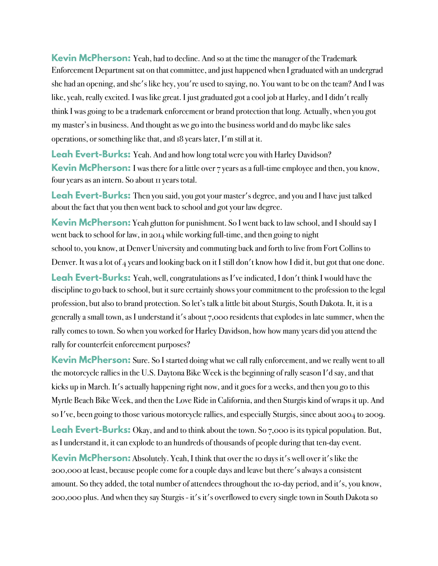**Kevin McPherson:** Yeah, had to decline. And so at the time the manager of the Trademark Enforcement Department sat on that committee, and just happened when I graduated with an undergrad she had an opening, and she's like hey, you're used to saying, no. You want to be on the team? And I was like, yeah, really excited. I was like great. I just graduated got a cool job at Harley, and I didn't really think I was going to be a trademark enforcement or brand protection that long. Actually, when you got my master's in business. And thought as we go into the business world and do maybe like sales operations, or something like that, and 18 years later, I'm still at it.

Leah Evert-Burks: Yeah. And and how long total were you with Harley Davidson? **Kevin McPherson:** I was there for a little over 7 years as a full-time employee and then, you know, four years as an intern. So about 11 years total.

Leah Evert-Burks: Then you said, you got your master's degree, and you and I have just talked about the fact that you then went back to school and got your law degree.

**Kevin McPherson:** Yeah glutton for punishment. So I went back to law school, and I should say I went back to school for law, in 2014 while working full-time, and then going to night school to, you know, at Denver University and commuting back and forth to live from Fort Collins to Denver. It was a lot of 4 years and looking back on it I still don't know how I did it, but got that one done.

Leah Evert-Burks: Yeah, well, congratulations as I've indicated, I don't think I would have the discipline to go back to school, but it sure certainly shows your commitment to the profession to the legal profession, but also to brand protection. So let's talk a little bit about Sturgis, South Dakota. It, it is a generally a small town, as I understand it's about 7,000 residents that explodes in late summer, when the rally comes to town. So when you worked for Harley Davidson, how how many years did you attend the rally for counterfeit enforcement purposes?

**Kevin McPherson:** Sure. So I started doing what we call rally enforcement, and we really went to all the motorcycle rallies in the U.S. Daytona Bike Week is the beginning of rally season I'd say, and that kicks up in March. It's actually happening right now, and it goes for 2 weeks, and then you go to this Myrtle Beach Bike Week, and then the Love Ride in California, and then Sturgis kind of wraps it up. And so I've, been going to those various motorcycle rallies, and especially Sturgis, since about 2004 to 2009.

**Leah Evert-Burks:** Okay, and and to think about the town. So 7,000 is its typical population. But, as I understand it, it can explode to an hundreds of thousands of people during that ten-day event.

**Kevin McPherson:** Absolutely. Yeah, I think that over the 10 days it's well over it's like the 200,000 at least, because people come for a couple days and leave but there's always a consistent amount. So they added, the total number of attendees throughout the 10-day period, and it's, you know, 200,000 plus. And when they say Sturgis - it's it's overflowed to every single town in South Dakota so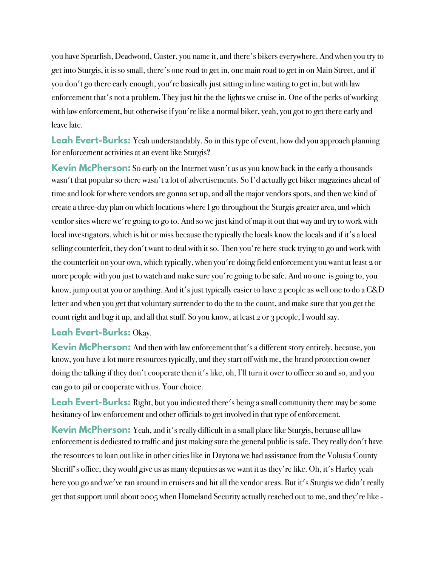you have Spearfish, Deadwood, Custer, you name it, and there's bikers everywhere. And when you try to get into Sturgis, it is so small, there's one road to get in, one main road to get in on Main Street, and if you don't go there early enough, you're basically just sitting in line waiting to get in, but with law enforcement that's not a problem. They just hit the the lights we cruise in. One of the perks of working with law enforcement, but otherwise if you're like a normal biker, yeah, you got to get there early and leave late.

**Leah Evert-Burks:** Yeah understandably. So in this type of event, how did you approach planning for enforcement activities at an event like Sturgis?

**Kevin McPherson:** So early on the Internet wasn't as as you know back in the early 2 thousands wasn't that popular so there wasn't a lot of advertisements. So I'd actually get biker magazines ahead of time and look for where vendors are gonna set up, and all the major vendors spots, and then we kind of create a three-day plan on which locations where I go throughout the Sturgis greater area, and which vendor sites where we're going to go to. And so we just kind of map it out that way and try to work with local investigators, which is hit or miss because the typically the locals know the locals and if it's a local selling counterfeit, they don't want to deal with it so. Then you're here stuck trying to go and work with the counterfeit on your own, which typically, when you're doing field enforcement you want at least 2 or more people with you just to watch and make sure you're going to be safe. And no one is going to, you know, jump out at you or anything. And it's just typically easier to have 2 people as well one to do a C&D letter and when you get that voluntary surrender to do the to the count, and make sure that you get the count right and bag it up, and all that stuff. So you know, at least 2 or 3 people, I would say.

### **Leah Evert-Burks:** Okay.

**Kevin McPherson:** And then with law enforcement that's a different story entirely, because, you know, you have a lot more resources typically, and they start off with me, the brand protection owner doing the talking if they don't cooperate then it's like, oh, I'll turn it over to officer so and so, and you can go to jail or cooperate with us. Your choice.

Leah Evert-Burks: Right, but you indicated there's being a small community there may be some hesitancy of law enforcement and other officials to get involved in that type of enforcement.

**Kevin McPherson:** Yeah, and it's really difficult in a small place like Sturgis, because all law enforcement is dedicated to traffic and just making sure the general public is safe. They really don't have the resources to loan out like in other cities like in Daytona we had assistance from the Volusia County Sheriff's office, they would give us as many deputies as we want it as they're like. Oh, it's Harley yeah here you go and we've ran around in cruisers and hit all the vendor areas. But it's Sturgis we didn't really get that support until about 2005 when Homeland Security actually reached out to me, and they're like -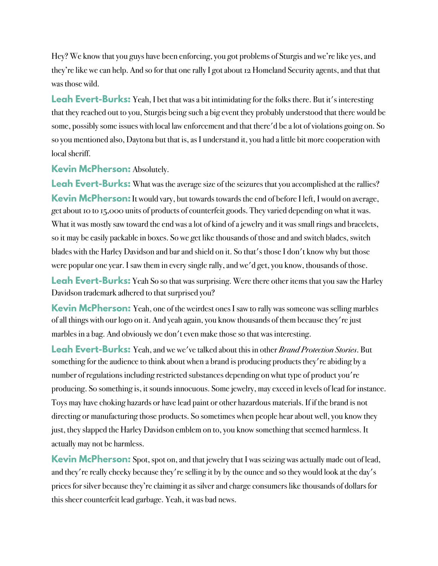Hey? We know that you guys have been enforcing, you got problems of Sturgis and we're like yes, and they're like we can help. And so for that one rally I got about 12 Homeland Security agents, and that that was those wild.

**Leah Evert-Burks:** Yeah, I bet that was a bit intimidating for the folks there. But it's interesting that they reached out to you, Sturgis being such a big event they probably understood that there would be some, possibly some issues with local law enforcement and that there'd be a lot of violations going on. So so you mentioned also, Daytona but that is, as I understand it, you had a little bit more cooperation with local sheriff.

**Kevin McPherson:** Absolutely.

**Leah Evert-Burks:** What was the average size of the seizures that you accomplished at the rallies? **Kevin McPherson:**It would vary, but towards towards the end of before I left, I would on average, get about 10 to 15,000 units of products of counterfeit goods. They varied depending on what it was. What it was mostly saw toward the end was a lot of kind of a jewelry and it was small rings and bracelets, so it may be easily packable in boxes. So we get like thousands of those and and switch blades, switch blades with the Harley Davidson and bar and shield on it. So that's those I don't know why but those were popular one year. I saw them in every single rally, and we'd get, you know, thousands of those.

**Leah Evert-Burks:** Yeah So so that was surprising. Were there other items that you saw the Harley Davidson trademark adhered to that surprised you?

**Kevin McPherson:** Yeah, one of the weirdest ones I saw to rally was someone was selling marbles of all things with our logo on it. And yeah again, you know thousands of them because they're just marbles in a bag. And obviously we don't even make those so that was interesting.

**Leah Evert-Burks:** Yeah, and we we've talked about this in other *Brand Protection Stories*. But something for the audience to think about when a brand is producing products they're abiding by a number of regulations including restricted substances depending on what type of product you're producing. So something is, it sounds innocuous. Some jewelry, may exceed in levels of lead for instance. Toys may have choking hazards or have lead paint or other hazardous materials. If if the brand is not directing or manufacturing those products. So sometimes when people hear about well, you know they just, they slapped the Harley Davidson emblem on to, you know something that seemed harmless. It actually may not be harmless.

**Kevin McPherson:** Spot, spot on, and that jewelry that I was seizing was actually made out of lead, and they're really cheeky because they're selling it by by the ounce and so they would look at the day's prices for silver because they're claiming it as silver and charge consumers like thousands of dollars for this sheer counterfeit lead garbage. Yeah, it was bad news.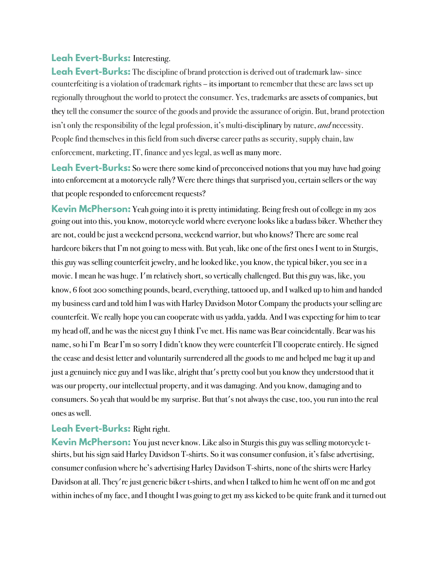#### **Leah Evert-Burks:** Interesting.

**Leah Evert-Burks:** The discipline of brand protection is derived out of trademark law-since counterfeiting is a violation of trademark rights – its important to remember that these are laws set up regionally throughout the world to protect the consumer. Yes, trademarksare assets of companies, but they tell the consumer the source of the goods and provide the assurance of origin. But, brand protection isn't only the responsibility of the legal profession, it's multi-disciplinary by nature, *and* necessity. People find themselves in this field from such diverse career paths as security, supply chain, law enforcement, marketing, IT, finance and yes legal, as well as many more.

**Leah Evert-Burks:** So were there some kind of preconceived notions that you may have had going into enforcement at a motorcycle rally? Were there things that surprised you, certain sellers or the way that people responded to enforcement requests?

**Kevin McPherson:** Yeah going into it is pretty intimidating. Being fresh out of college in my 20s going out into this, you know, motorcycle world where everyone looks like a badass biker. Whether they are not, could be just a weekend persona, weekend warrior, but who knows? There are some real hardcore bikers that I'm not going to mess with. But yeah, like one of the first ones I went to in Sturgis, this guy was selling counterfeit jewelry, and he looked like, you know, the typical biker, you see in a movie. I mean he was huge. I'm relatively short, so vertically challenged. But this guy was, like, you know, 6 foot 200 something pounds, beard, everything, tattooed up, and I walked up to him and handed my business card and told him I was with Harley Davidson Motor Company the products your selling are counterfeit. We really hope you can cooperate with us yadda, yadda. And I was expecting for him to tear my head off, and he was the nicest guy I think I've met. His name was Bear coincidentally. Bear was his name, so hi I'm Bear I'm so sorry I didn't know they were counterfeit I'll cooperate entirely. He signed the cease and desist letter and voluntarily surrendered all the goods to me and helped me bag it up and just a genuinely nice guy and I was like, alright that's pretty cool but you know they understood that it was our property, our intellectual property, and it was damaging. And you know, damaging and to consumers. So yeah that would be my surprise. But that's not always the case, too, you run into the real ones as well.

### **Leah Evert-Burks:** Right right.

**Kevin McPherson:** You just never know. Like also in Sturgis this guy was selling motorcycle tshirts, but his sign said Harley Davidson T-shirts. So it was consumer confusion, it's false advertising, consumer confusion where he's advertising Harley Davidson T-shirts, none of the shirts were Harley Davidson at all. They're just generic biker t-shirts, and when I talked to him he went off on me and got within inches of my face, and I thought I was going to get my ass kicked to be quite frank and it turned out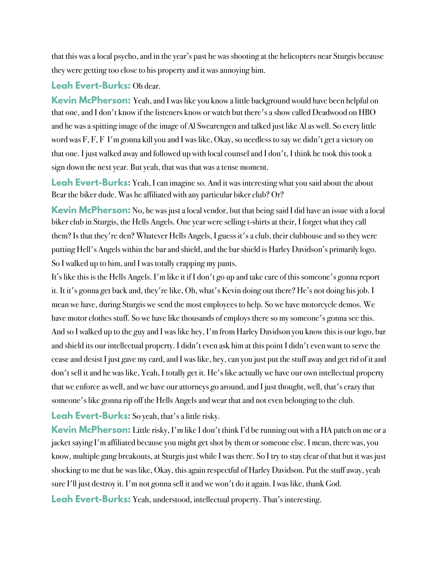that this was a local psycho, and in the year's past he was shooting at the helicopters near Sturgis because they were getting too close to his property and it was annoying him.

## **Leah Evert-Burks:** Oh dear.

**Kevin McPherson:** Yeah, and I was like you know a little background would have been helpful on that one, and I don't know if the listeners know or watch but there's a show called Deadwood on HBO and he was a spitting image of the image of Al Swearengen and talked just like Al as well. So every little word was F, F, F I'm gonna kill you and I was like, Okay, so needless to say we didn't get a victory on that one. I just walked away and followed up with local counsel and I don't, I think he took this took a sign down the next year. But yeah, that was that was a tense moment.

Leah Evert-Burks: Yeah, I can imagine so. And it was interesting what you said about the about Bear the biker dude. Was he affiliated with any particular biker club? Or?

**Kevin McPherson:** No, he was just a local vendor, but that being said I did have an issue with a local biker club in Sturgis, the Hells Angels. One year were selling t-shirts at their, I forget what they call them? Is that they're den? Whatever Hells Angels, I guess it's a club, their clubhouse and so they were putting Hell's Angels within the bar and shield, and the bar shield is Harley Davidson's primarily logo. So I walked up to him, and I was totally crapping my pants.

It's like this is the Hells Angels. I'm like it if I don't go up and take care of this someone's gonna report it. It it's gonna get back and, they're like, Oh, what's Kevin doing out there? He's not doing his job. I mean we have, during Sturgis we send the most employees to help. So we have motorcycle demos. We have motor clothes stuff. So we have like thousands of employs there so my someone's gonna see this. And so I walked up to the guy and I was like hey, I'm from Harley Davidson you know this is our logo, bar and shield its our intellectual property. I didn't even ask him at this point I didn't even want to serve the cease and desist I just gave my card, and I was like, hey, can you just put the stuff away and get rid of it and don't sell it and he was like, Yeah, I totally get it. He's like actually we have our own intellectual property that we enforce as well, and we have our attorneys go around, and I just thought, well, that's crazy that someone's like gonna rip off the Hells Angels and wear that and not even belonging to the club.

# **Leah Evert-Burks:** So yeah, that's a little risky.

**Kevin McPherson:** Little risky, I'm like I don't think I'd be running out with a HA patch on me or a jacket saying I'm affiliated because you might get shot by them or someone else. I mean, there was, you know, multiple gang breakouts, at Sturgis just while I was there. So I try to stay clear of that but it was just shocking to me that he was like, Okay, this again respectful of Harley Davidson. Put the stuff away, yeah sure I'll just destroy it. I'm not gonna sell it and we won't do it again. I was like, thank God.

**Leah Evert-Burks:** Yeah, understood, intellectual property. That's interesting.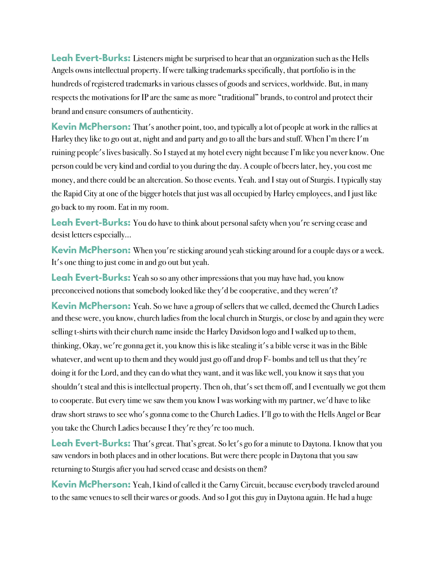**Leah Evert-Burks:** Listeners might be surprised to hear that an organization such as the Hells Angels owns intellectual property. If were talking trademarks specifically, that portfolio is in the hundreds of registered trademarks in various classes of goods and services, worldwide. But, in many respects the motivations for IP are the same as more "traditional" brands, to control and protect their brand and ensure consumers of authenticity.

**Kevin McPherson:** That's another point, too, and typically a lot of people at work in the rallies at Harley they like to go out at, night and and party and go to all the bars and stuff. When I'm there I'm ruining people's lives basically. So I stayed at my hotel every night because I'm like you never know. One person could be very kind and cordial to you during the day. A couple of beers later, hey, you cost me money, and there could be an altercation. So those events. Yeah. and I stay out of Sturgis. I typically stay the Rapid City at one of the bigger hotels that just was all occupied by Harley employees, and I just like go back to my room. Eat in my room.

**Leah Evert-Burks:** You do have to think about personal safety when you're serving cease and desist letters especially…

**Kevin McPherson:** When you're sticking around yeah sticking around for a couple days or a week. It's one thing to just come in and go out but yeah.

**Leah Evert-Burks:** Yeah so so any other impressions that you may have had, you know preconceived notions that somebody looked like they'd be cooperative, and they weren't?

**Kevin McPherson:** Yeah. So we have a group of sellers that we called, deemed the Church Ladies and these were, you know, church ladies from the local church in Sturgis, or close by and again they were selling t-shirts with their church name inside the Harley Davidson logo and I walked up to them, thinking, Okay, we're gonna get it, you know this is like stealing it's a bible verse it was in the Bible whatever, and went up to them and they would just go off and drop F- bombs and tell us that they're doing it for the Lord, and they can do what they want, and it was like well, you know it says that you shouldn't steal and this is intellectual property. Then oh, that's set them off, and I eventually we got them to cooperate. But every time we saw them you know I was working with my partner, we'd have to like draw short straws to see who's gonna come to the Church Ladies. I'll go to with the Hells Angel or Bear you take the Church Ladies because I they're they're too much.

**Leah Evert-Burks:** That's great. That's great. So let's go for a minute to Daytona. I know that you saw vendors in both places and in other locations. But were there people in Daytona that you saw returning to Sturgis after you had served cease and desists on them?

**Kevin McPherson:** Yeah, I kind of called it the Carny Circuit, because everybody traveled around to the same venues to sell their wares or goods. And so I got this guy in Daytona again. He had a huge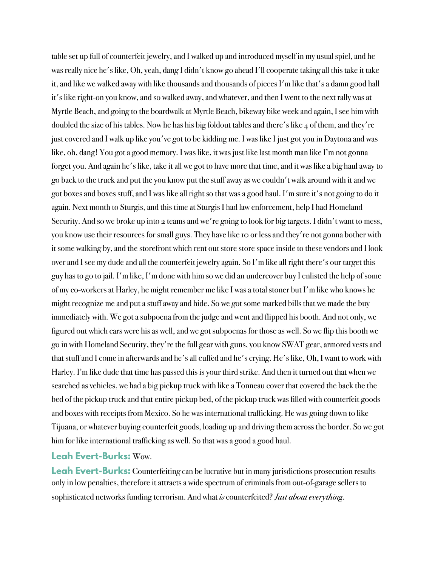table set up full of counterfeit jewelry, and I walked up and introduced myself in my usual spiel, and he was really nice he's like, Oh, yeah, dang I didn't know go ahead I'll cooperate taking all this take it take it, and like we walked away with like thousands and thousands of pieces I'm like that's a damn good hall it's like right-on you know, and so walked away, and whatever, and then I went to the next rally was at Myrtle Beach, and going to the boardwalk at Myrtle Beach, bikeway bike week and again, I see him with doubled the size of his tables. Now he has his big foldout tables and there's like  $\ddot{A}$  of them, and they're just covered and I walk up like you've got to be kidding me. I was like I just got you in Daytona and was like, oh, dang! You got a good memory. I was like, it was just like last month man like I'm not gonna forget you. And again he's like, take it all we got to have more that time, and it was like a big haul away to go back to the truck and put the you know put the stuff away as we couldn't walk around with it and we got boxes and boxes stuff, and I was like all right so that was a good haul. I'm sure it's not going to do it again. Next month to Sturgis, and this time at Sturgis I had law enforcement, help I had Homeland Security. And so we broke up into 2 teams and we're going to look for big targets. I didn't want to mess, you know use their resources for small guys. They have like 10 or less and they're not gonna bother with it some walking by, and the storefront which rent out store store space inside to these vendors and I look over and I see my dude and all the counterfeit jewelry again. So I'm like all right there's our target this guy has to go to jail. I'm like, I'm done with him so we did an undercover buy I enlisted the help of some of my co-workers at Harley, he might remember me like I was a total stoner but I'm like who knows he might recognize me and put a stuff away and hide. So we got some marked bills that we made the buy immediately with. We got a subpoena from the judge and went and flipped his booth. And not only, we figured out which cars were his as well, and we got subpoenas for those as well. So we flip this booth we go in with Homeland Security, they're the full gear with guns, you know SWAT gear, armored vests and that stuff and I come in afterwards and he's all cuffed and he's crying. He's like, Oh, I want to work with Harley. I'm like dude that time has passed this is your third strike. And then it turned out that when we searched as vehicles, we had a big pickup truck with like a Tonneau cover that covered the back the the bed of the pickup truck and that entire pickup bed, of the pickup truck was filled with counterfeit goods and boxes with receipts from Mexico. So he was international trafficking. He was going down to like Tijuana, or whatever buying counterfeit goods, loading up and driving them across the border. So we got him for like international trafficking as well. So that was a good a good haul.

#### **Leah Evert-Burks:** Wow.

**Leah Evert-Burks:** Counterfeiting can be lucrative but in many jurisdictions prosecution results only in low penalties, therefore it attracts a wide spectrum of criminals from out-of-garage sellers to sophisticated networks funding terrorism. And what *is* counterfeited? *Just about everything*.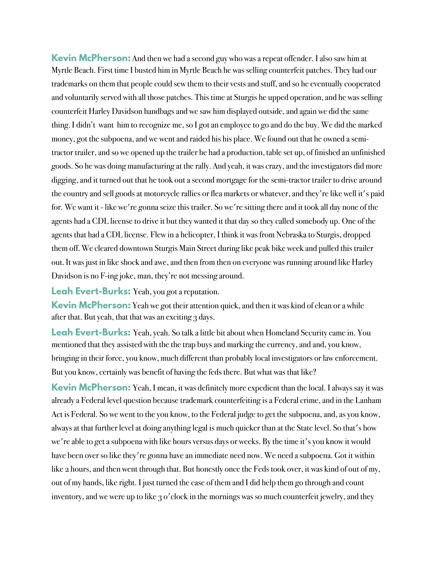**Kevin McPherson:** And then we had a second guy who was a repeat offender. I also saw him at Myrtle Beach. First time I busted him in Myrtle Beach he was selling counterfeit patches. They had our trademarks on them that people could sew them to their vests and stuff, and so he eventually cooperated and voluntarily served with all those patches. This time at Sturgis he upped operation, and he was selling counterfeit Harley Davidson handbags and we saw him displayed outside, and again we did the same thing.I didn't want him to recognize me, so I got an employee to go and do the buy. We did the marked money, got the subpoena, and we went and raided his his place. We found out that he owned a semitractor trailer, and so we opened up the trailer he had a production, table set up, of finished an unfinished goods. So he was doing manufacturing at the rally. And yeah, it was crazy, and the investigators did more digging, and it turned out that he took out a second mortgage for the semi-tractor trailer to drive around the country and sell goods at motorcycle rallies or flea markets or whatever, and they're like well it's paid for. We want it - like we're gonna seize this trailer. So we're sitting there and it took all day none of the agents had a CDL license to drive it but they wanted it that day so they called somebody up. One of the agents that had a CDL license. Flew in a helicopter, I think it was from Nebraska to Sturgis, dropped them off.We cleared downtown Sturgis Main Street during like peak bike week and pulled this trailer out.It was just in like shock and awe, and then from then on everyone was running around like Harley Davidson is no F-ing joke, man, they're not messing around.

**Leah Evert-Burks:** Yeah, you got a reputation.

**Kevin McPherson:** Yeah we got their attention quick, and then it was kind of clean or a while after that. But yeah, that that was an exciting 3 days.

**Leah Evert-Burks:** Yeah, yeah. So talk a little bit about when Homeland Security came in. You mentioned that they assisted with the the trap buys and marking the currency, and and, you know, bringing in their force, you know, much different than probably local investigators or law enforcement. But you know, certainly was benefit of having the feds there. But what was that like?

**Kevin McPherson:** Yeah, I mean, it was definitely more expedient than the local. I always say it was already a Federal level question because trademark counterfeiting is a Federal crime, and in the Lanham Act is Federal. So we went to the you know, to the Federal judge to get the subpoena, and, as you know, always at that further level at doing anything legal is much quicker than at the State level. So that's how we're able to get a subpoena with like hours versus days or weeks. By the time it's you know it would have been over so like they're gonna have an immediate need now. We need a subpoena. Got it within like 2 hours, and then went through that. But honestly once the Feds took over, it was kind of out of my, out of my hands, like right. I just turned the case of them and I did help them go through and count inventory, and we were up to like 3 o'clock in the mornings was so much counterfeit jewelry, and they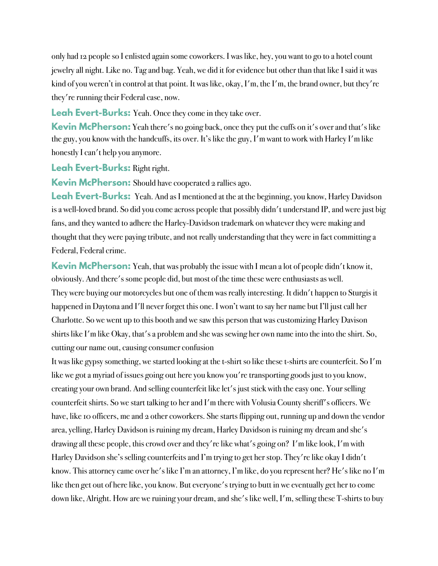only had 12 people so I enlisted again some coworkers. I was like, hey, you want to go to a hotel count jewelry all night. Like no. Tag and bag. Yeah, we did it for evidence but other than that like I said it was kind of you weren't in control at that point. It was like, okay, I'm, the I'm, the brand owner, but they're they're running their Federal case, now.

**Leah Evert-Burks:** Yeah. Once they come in they take over.

**Kevin McPherson:** Yeah there's no going back, once they put the cuffs on it's over and that's like the guy, you know with the handcuffs, its over. It's like the guy, I'm want to work with Harley I'm like honestly I can't help you anymore.

**Leah Evert-Burks:** Right right.

**Kevin McPherson:** Should have cooperated 2 rallies ago.

**Leah Evert-Burks:** Yeah. And as I mentioned at the at the beginning, you know, Harley Davidson is a well-loved brand. So did you come across people that possibly didn't understand IP, and were just big fans, and they wanted to adhere the Harley-Davidson trademark on whatever they were making and thought that they were paying tribute, and not really understanding that they were in fact committing a Federal, Federal crime.

**Kevin McPherson:** Yeah, that was probably the issue with I mean a lot of people didn't know it, obviously. And there's some people did, but most of the time these were enthusiasts as well. They were buying our motorcycles but one of them was really interesting. It didn't happen to Sturgis it happened in Daytona and I'll never forget this one. I won't want to say her name but I'll just call her Charlotte. So we went up to this booth and we saw this person that was customizing Harley Davison shirts like I'm like Okay, that's a problem and she was sewing her own name into the into the shirt. So, cutting our name out, causing consumer confusion

It was like gypsy something, we started looking at the t-shirt so like these t-shirts are counterfeit. So I'm like we got a myriad of issues going out here you know you're transporting goods just to you know, creating your own brand. And selling counterfeit like let's just stick with the easy one. Your selling counterfeit shirts. So we start talking to her and I'm there with Volusia County sheriff's officers. We have, like 10 officers, me and 2 other coworkers. She starts flipping out, running up and down the vendor area, yelling, Harley Davidson is ruining my dream, Harley Davidson is ruining my dream and she's drawing all these people, this crowd over and they're like what's going on? I'm like look, I'm with Harley Davidson she's selling counterfeits and I'm trying to get her stop. They're like okay I didn't know. This attorney came over he's like I'm an attorney, I'm like, do you represent her? He's like no I'm like then get out of here like, you know. But everyone's trying to butt in we eventually get her to come down like, Alright. How are we ruining your dream, and she's like well, I'm, selling these T-shirts to buy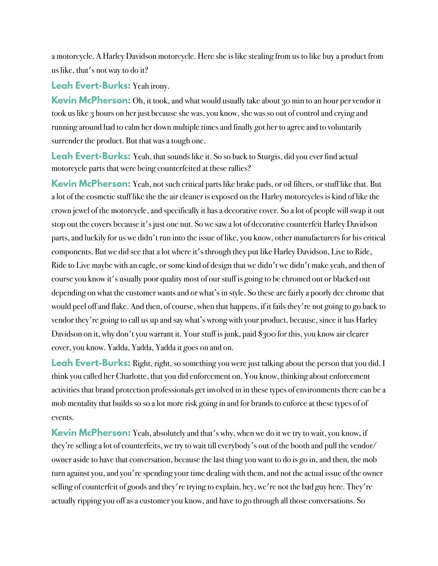a motorcycle. A Harley Davidson motorcycle. Here she is like stealing from us to like buy a product from us like, that's not way to do it?

**Leah Evert-Burks:** Yeah irony.

**Kevin McPherson:** Oh, it took, and what would usually take about 30 min to an hour per vendor it took us like 3 hours on her just because she was, you know, she was so out of control and crying and running around had to calm her down multiple times and finally got her to agree and to voluntarily surrender the product. But that was a tough one.

**Leah Evert-Burks:** Yeah, that sounds like it. So so back to Sturgis, did you ever find actual motorcycle parts that were being counterfeited at these rallies?

**Kevin McPherson:** Yeah, not such critical parts like brake pads, or oil filters, or stuff like that. But a lot of the cosmetic stuff like the the air cleaner is exposed on the Harley motorcycles is kind of like the crown jewel of the motorcycle, and specifically it has a decorative cover. So a lot of people will swap it out stop out the covers because it's just one nut. So we saw a lot of decorative counterfeit Harley Davidson parts, and luckily for us we didn't run into the issue of like, you know, other manufacturers for his critical components. But we did see that a lot where it's through they put like Harley Davidson, Live to Ride, Ride to Live maybe with an eagle, or some kind of design that we didn't we didn't make yeah, and then of course you know it's usually poor quality most of our stuff is going to be chromed out or blacked out depending on what the customer wants and or what's in style. So these are fairly a poorly dec chrome that would peel off and flake. And then, of course, when that happens, if it fails they're not going to go back to vendor they're going to call us up and say what's wrong with your product, because, since it has Harley Davidson on it, why don't you warrant it. Your stuff is junk, paid \$300 for this, you know air clearer cover, you know. Yadda, Yadda, Yadda it goes on and on.

**Leah Evert-Burks:** Right, right, so something you were just talking about the person that you did. I think you called her Charlotte, that you did enforcement on. You know, thinking about enforcement activities that brand protection professionals get involved in in these types of environments there can be a mob mentality that builds so so a lot more risk going in and for brands to enforce at these types of of events.

**Kevin McPherson:** Yeah, absolutely and that's why, when we do it we try to wait, you know, if they're selling a lot of counterfeits, we try to wait till everybody's out of the booth and pull the vendor/ owner aside to have that conversation, because the last thing you want to do is go in, and then, the mob turn against you, and you're spending your time dealing with them, and not the actual issue of the owner selling of counterfeit of goods and they're trying to explain, hey, we're not the bad guy here. They're actually ripping you off as a customer you know, and have to go through all those conversations. So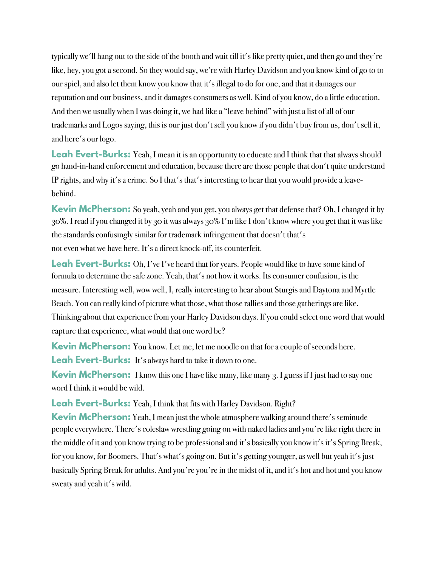typically we'll hang out to the side of the booth and wait till it's like pretty quiet, and then go and they're like, hey, you got a second. So they would say, we're with Harley Davidson and you know kind of go to to our spiel, and also let them know you know that it's illegal to do for one, and that it damages our reputation and our business, and it damages consumers as well. Kind of you know, do a little education. And then we usually when I was doing it, we had like a "leave behind" with just a list of all of our trademarks and Logos saying, this is our just don't sell you know if you didn't buy from us, don't sell it, and here's our logo.

**Leah Evert-Burks:** Yeah, I mean it is an opportunity to educate and I think that that always should go hand-in-hand enforcement and education, because there are those people that don't quite understand IP rights, and why it's a crime. So I that's that's interesting to hear that you would provide a leavebehind.

**Kevin McPherson:** So yeah, yeah and you get, you always get that defense that? Oh, I changed it by 30%. I read if you changed it by 30 it was always 30% I'm like I don't know where you get that it was like the standards confusingly similar for trademark infringement that doesn't that's not even what we have here. It's a direct knock-off, its counterfeit.

**Leah Evert-Burks:** Oh, I've I've heard that for years. People would like to have some kind of formula to determine the safe zone. Yeah, that's not how it works. Its consumer confusion, is the measure. Interesting well, wow well, I, really interesting to hear about Sturgis and Daytona and Myrtle Beach. You can really kind of picture what those, what those rallies and those gatherings are like. Thinking about that experience from your Harley Davidson days. If you could select one word that would capture that experience, what would that one word be?

**Kevin McPherson:** You know. Let me, let me noodle on that for a couple of seconds here. **Leah Evert-Burks:** It's always hard to take it down to one.

**Kevin McPherson:** I know this one I have like many, like many 3. I guess if I just had to say one word I think it would be wild.

**Leah Evert-Burks:** Yeah, I think that fits with Harley Davidson. Right?

**Kevin McPherson:** Yeah, I mean just the whole atmosphere walking around there's seminude people everywhere. There's coleslaw wrestling going on with naked ladies and you're like right there in the middle of it and you know trying to be professional and it's basically you know it's it's Spring Break, for you know, for Boomers. That's what's going on. But it's getting younger, as well but yeah it's just basically Spring Break for adults. And you're you're in the midst of it, and it's hot and hot and you know sweaty and yeah it's wild.